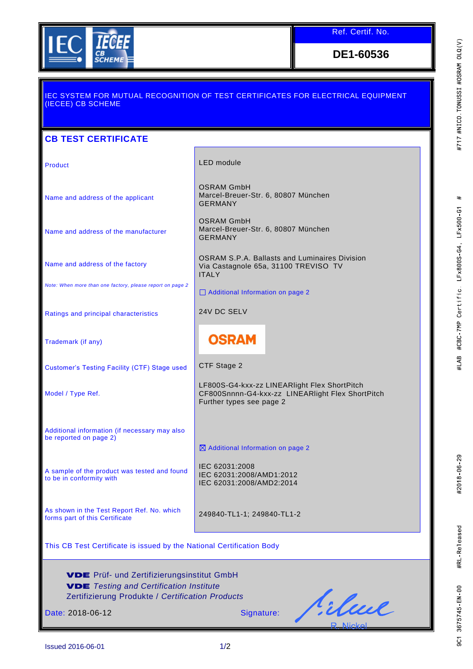

Ref. Certif. No.

**DE1-60536**

## IEC SYSTEM FOR MUTUAL RECOGNITION OF TEST CERTIFICATES FOR ELECTRICAL EQUIPMENT (IECEE) CB SCHEME **CB TEST CERTIFICATE** Product **LED** module OSRAM GmbH Marcel-Breuer-Str. 6, 80807 München Name and address of the applicant GERMANY OSRAM GmbH Marcel-Breuer-Str. 6, 80807 München Name and address of the manufacturer GERMANY OSRAM S.P.A. Ballasts and Luminaires Division Name and address of the factory Via Castagnole 65a, 31100 TREVISO TV ITALY *Note: When more than one factory, please report on page 2* □ Additional Information on page 2 Ratings and principal characteristics 24V DC SELV **OSRAM** Trademark (if any) Customer's Testing Facility (CTF) Stage used CTF Stage 2 LF800S-G4-kxx-zz LINEARlight Flex ShortPitch Model / Type Ref. CF800Snnnn-G4-kxx-zz LINEARlight Flex ShortPitch Further types see page 2 Additional information (if necessary may also be reported on page 2) Additional Information on page 2 IEC 62031:2008 A sample of the product was tested and found IEC 62031:2008/AMD1:2012 to be in conformity with IEC 62031:2008/AMD2:2014 As shown in the Test Report Ref. No. which forms part of this Certificate 249840-TL1-1; 249840-TL1-2 This CB Test Certificate is issued by the National Certification Body VDE Prüf- und Zertifizierungsinstitut GmbH Q *Testing and Certification Institute* Zertifizierung Produkte / *Certification Products* Silme. Date: 2018-06-12 Signature:

Issued 2016-06-01 1/2